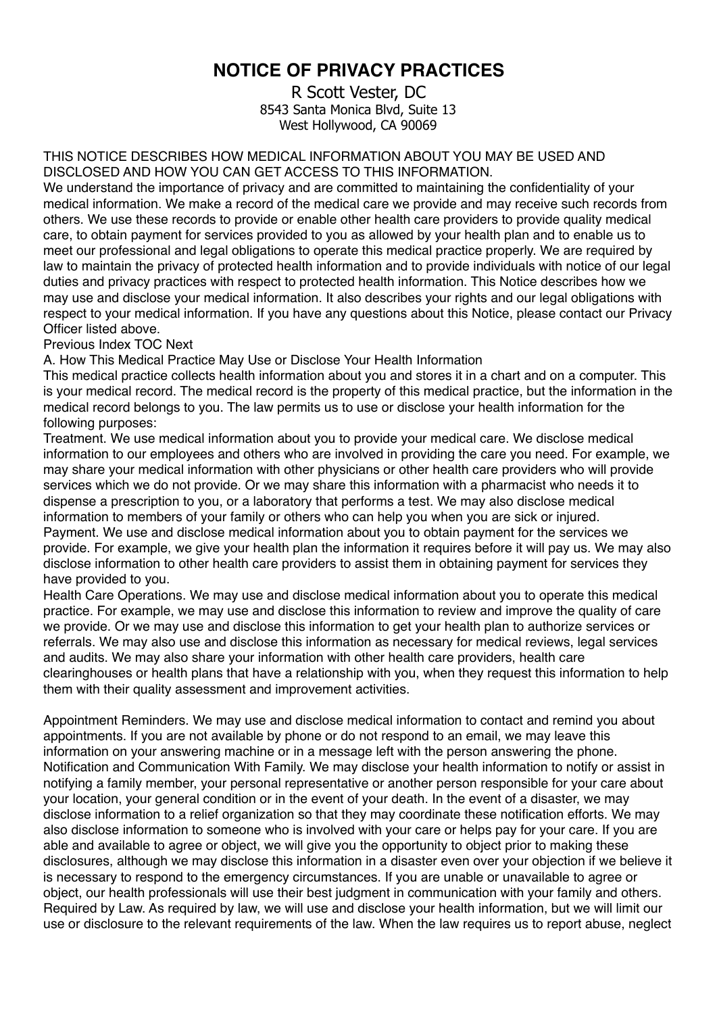## **NOTICE OF PRIVACY PRACTICES**

R Scott Vester, DC 8543 Santa Monica Blvd, Suite 13 West Hollywood, CA 90069

THIS NOTICE DESCRIBES HOW MEDICAL INFORMATION ABOUT YOU MAY BE USED AND DISCLOSED AND HOW YOU CAN GET ACCESS TO THIS INFORMATION.

We understand the importance of privacy and are committed to maintaining the confidentiality of your medical information. We make a record of the medical care we provide and may receive such records from others. We use these records to provide or enable other health care providers to provide quality medical care, to obtain payment for services provided to you as allowed by your health plan and to enable us to meet our professional and legal obligations to operate this medical practice properly. We are required by law to maintain the privacy of protected health information and to provide individuals with notice of our legal duties and privacy practices with respect to protected health information. This Notice describes how we may use and disclose your medical information. It also describes your rights and our legal obligations with respect to your medical information. If you have any questions about this Notice, please contact our Privacy Officer listed above.

Previous Index TOC Next

A. How This Medical Practice May Use or Disclose Your Health Information

This medical practice collects health information about you and stores it in a chart and on a computer. This is your medical record. The medical record is the property of this medical practice, but the information in the medical record belongs to you. The law permits us to use or disclose your health information for the following purposes:

Treatment. We use medical information about you to provide your medical care. We disclose medical information to our employees and others who are involved in providing the care you need. For example, we may share your medical information with other physicians or other health care providers who will provide services which we do not provide. Or we may share this information with a pharmacist who needs it to dispense a prescription to you, or a laboratory that performs a test. We may also disclose medical information to members of your family or others who can help you when you are sick or injured. Payment. We use and disclose medical information about you to obtain payment for the services we provide. For example, we give your health plan the information it requires before it will pay us. We may also disclose information to other health care providers to assist them in obtaining payment for services they have provided to you.

Health Care Operations. We may use and disclose medical information about you to operate this medical practice. For example, we may use and disclose this information to review and improve the quality of care we provide. Or we may use and disclose this information to get your health plan to authorize services or referrals. We may also use and disclose this information as necessary for medical reviews, legal services and audits. We may also share your information with other health care providers, health care clearinghouses or health plans that have a relationship with you, when they request this information to help them with their quality assessment and improvement activities.

Appointment Reminders. We may use and disclose medical information to contact and remind you about appointments. If you are not available by phone or do not respond to an email, we may leave this information on your answering machine or in a message left with the person answering the phone. Notification and Communication With Family. We may disclose your health information to notify or assist in notifying a family member, your personal representative or another person responsible for your care about your location, your general condition or in the event of your death. In the event of a disaster, we may disclose information to a relief organization so that they may coordinate these notification efforts. We may also disclose information to someone who is involved with your care or helps pay for your care. If you are able and available to agree or object, we will give you the opportunity to object prior to making these disclosures, although we may disclose this information in a disaster even over your objection if we believe it is necessary to respond to the emergency circumstances. If you are unable or unavailable to agree or object, our health professionals will use their best judgment in communication with your family and others. Required by Law. As required by law, we will use and disclose your health information, but we will limit our use or disclosure to the relevant requirements of the law. When the law requires us to report abuse, neglect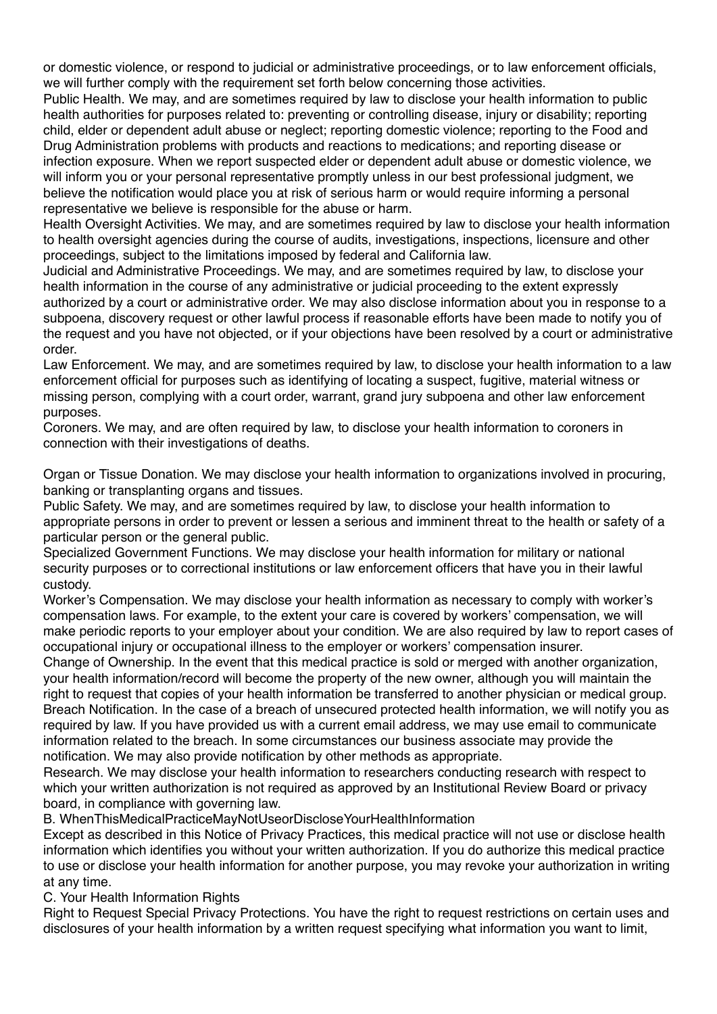or domestic violence, or respond to judicial or administrative proceedings, or to law enforcement officials, we will further comply with the requirement set forth below concerning those activities.

Public Health. We may, and are sometimes required by law to disclose your health information to public health authorities for purposes related to: preventing or controlling disease, injury or disability; reporting child, elder or dependent adult abuse or neglect; reporting domestic violence; reporting to the Food and Drug Administration problems with products and reactions to medications; and reporting disease or infection exposure. When we report suspected elder or dependent adult abuse or domestic violence, we will inform you or your personal representative promptly unless in our best professional judgment, we believe the notification would place you at risk of serious harm or would require informing a personal representative we believe is responsible for the abuse or harm.

Health Oversight Activities. We may, and are sometimes required by law to disclose your health information to health oversight agencies during the course of audits, investigations, inspections, licensure and other proceedings, subject to the limitations imposed by federal and California law.

Judicial and Administrative Proceedings. We may, and are sometimes required by law, to disclose your health information in the course of any administrative or judicial proceeding to the extent expressly authorized by a court or administrative order. We may also disclose information about you in response to a subpoena, discovery request or other lawful process if reasonable efforts have been made to notify you of the request and you have not objected, or if your objections have been resolved by a court or administrative order.

Law Enforcement. We may, and are sometimes required by law, to disclose your health information to a law enforcement official for purposes such as identifying of locating a suspect, fugitive, material witness or missing person, complying with a court order, warrant, grand jury subpoena and other law enforcement purposes.

Coroners. We may, and are often required by law, to disclose your health information to coroners in connection with their investigations of deaths.

Organ or Tissue Donation. We may disclose your health information to organizations involved in procuring, banking or transplanting organs and tissues.

Public Safety. We may, and are sometimes required by law, to disclose your health information to appropriate persons in order to prevent or lessen a serious and imminent threat to the health or safety of a particular person or the general public.

Specialized Government Functions. We may disclose your health information for military or national security purposes or to correctional institutions or law enforcement officers that have you in their lawful custody.

Worker's Compensation. We may disclose your health information as necessary to comply with worker's compensation laws. For example, to the extent your care is covered by workers' compensation, we will make periodic reports to your employer about your condition. We are also required by law to report cases of occupational injury or occupational illness to the employer or workers' compensation insurer.

Change of Ownership. In the event that this medical practice is sold or merged with another organization, your health information/record will become the property of the new owner, although you will maintain the right to request that copies of your health information be transferred to another physician or medical group. Breach Notification. In the case of a breach of unsecured protected health information, we will notify you as required by law. If you have provided us with a current email address, we may use email to communicate information related to the breach. In some circumstances our business associate may provide the notification. We may also provide notification by other methods as appropriate.

Research. We may disclose your health information to researchers conducting research with respect to which your written authorization is not required as approved by an Institutional Review Board or privacy board, in compliance with governing law.

B. WhenThisMedicalPracticeMayNotUseorDiscloseYourHealthInformation

Except as described in this Notice of Privacy Practices, this medical practice will not use or disclose health information which identifies you without your written authorization. If you do authorize this medical practice to use or disclose your health information for another purpose, you may revoke your authorization in writing at any time.

C. Your Health Information Rights

Right to Request Special Privacy Protections. You have the right to request restrictions on certain uses and disclosures of your health information by a written request specifying what information you want to limit,